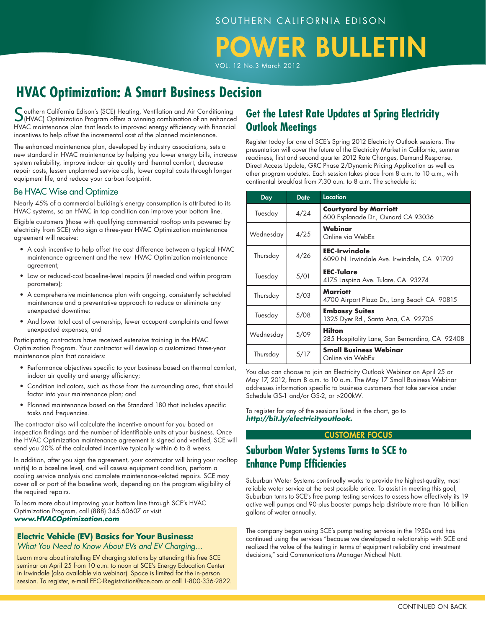# *OWER BULLETIN*

VOL. 12 No.3 March 2012

# **HVAC Optimization: A Smart Business Decision**

Southern California Edison's (SCE) Heating, Ventilation and Air Conditioning<br>(HVAC) Optimization Program offers a winning combination of an enhanced HVAC maintenance plan that leads to improved energy efficiency with financial incentives to help offset the incremental cost of the planned maintenance.

The enhanced maintenance plan, developed by industry associations, sets a new standard in HVAC maintenance by helping you lower energy bills, increase system reliability, improve indoor air quality and thermal comfort, decrease repair costs, lessen unplanned service calls, lower capital costs through longer equipment life, and reduce your carbon footprint.

#### Be HVAC Wise and Optimize

Nearly 45% of a commercial building's energy consumption is attributed to its HVAC systems, so an HVAC in top condition can improve your bottom line.

Eligible customers (those with qualifying commercial rooftop units powered by electricity from SCE) who sign a three-year HVAC Optimization maintenance agreement will receive:

- A cash incentive to help offset the cost difference between a typical HVAC maintenance agreement and the new HVAC Optimization maintenance agreement;
- Low or reduced-cost baseline-level repairs (if needed and within program parameters);
- A comprehensive maintenance plan with ongoing, consistently scheduled maintenance and a preventative approach to reduce or eliminate any unexpected downtime;
- And lower total cost of ownership, fewer occupant complaints and fewer unexpected expenses; and

Participating contractors have received extensive training in the HVAC Optimization Program. Your contractor will develop a customized three-year maintenance plan that considers:

- Performance objectives specific to your business based on thermal comfort, indoor air quality and energy efficiency;
- Condition indicators, such as those from the surrounding area, that should factor into your maintenance plan; and
- Planned maintenance based on the Standard 180 that includes specific tasks and frequencies.

The contractor also will calculate the incentive amount for you based on inspection findings and the number of identifiable units at your business. Once the HVAC Optimization maintenance agreement is signed and verified, SCE will send you 20% of the calculated incentive typically within 6 to 8 weeks.

In addition, after you sign the agreement, your contractor will bring your rooftop unit(s) to a baseline level, and will assess equipment condition, perform a cooling service analysis and complete maintenance-related repairs. SCE may cover all or part of the baseline work, depending on the program eligibility of the required repairs.

To learn more about improving your bottom line through SCE's HVAC Optimization Program, call (888) 345.60607 or visit *www.HVACOptimization.com*.

### **Electric Vehicle (EV) Basics for Your Business:**

*What You Need to Know About EVs and EV Charging…*

Learn more about installing EV charging stations by attending this free SCE seminar on April 25 from 10 a.m. to noon at SCE's Energy Education Center in Irwindale (also available via webinar). Space is limited for the in-person session. To register, e-mail EEC-IRegistration@sce.com or call 1-800-336-2822.

## **Get the Latest Rate Updates at Spring Electricity Outlook Meetings**

Register today for one of SCE's Spring 2012 Electricity Outlook sessions. The presentation will cover the future of the Electricity Market in California, summer readiness, first and second quarter 2012 Rate Changes, Demand Response, Direct Access Update, GRC Phase 2/Dynamic Pricing Application as well as other program updates. Each session takes place from 8 a.m. to 10 a.m., with continental breakfast from 7:30 a.m. to 8 a.m. The schedule is:

| Day       | <b>Date</b> | Location                                                           |  |
|-----------|-------------|--------------------------------------------------------------------|--|
| Tuesday   | 4/24        | <b>Courtyard by Marriott</b><br>600 Esplanade Dr., Oxnard CA 93036 |  |
| Wednesday | 4/25        | Webinar<br>Online via WebEx                                        |  |
| Thursday  | 4/26        | <b>EEC-Irwindale</b><br>6090 N. Irwindale Ave. Irwindale, CA 91702 |  |
| Tuesday   | 5/01        | <b>EEC-Tulare</b><br>4175 Laspina Ave. Tulare, CA 93274            |  |
| Thursday  | 5/03        | <b>Marriott</b><br>4700 Airport Plaza Dr., Long Beach CA 90815     |  |
| Tuesday   | 5/08        | <b>Embassy Suites</b><br>1325 Dyer Rd., Santa Ana, CA 92705        |  |
| Wednesday | 5/09        | <b>Hilton</b><br>285 Hospitality Lane, San Bernardino, CA 92408    |  |
| Thursday  | 5/17        | <b>Small Business Webinar</b><br>Online via WebEx                  |  |

You also can choose to join an Electricity Outlook Webinar on April 25 or May 17, 2012, from 8 a.m. to 10 a.m. The May 17 Small Business Webinar addresses information specific to business customers that take service under Schedule GS-1 and/or GS-2, or >200kW.

To register for any of the sessions listed in the chart, go to *http://bit.ly/electricityoutlook.*

#### CUSTOMER Focus

## **Suburban Water Systems Turns to SCE to Enhance Pump Efficiencies**

Suburban Water Systems continually works to provide the highest-quality, most reliable water service at the best possible price. To assist in meeting this goal, Suburban turns to SCE's free pump testing services to assess how effectively its 19 active well pumps and 90-plus booster pumps help distribute more than 16 billion gallons of water annually.

The company began using SCE's pump testing services in the 1950s and has continued using the services "because we developed a relationship with SCE and realized the value of the testing in terms of equipment reliability and investment decisions," said Communications Manager Michael Nutt.